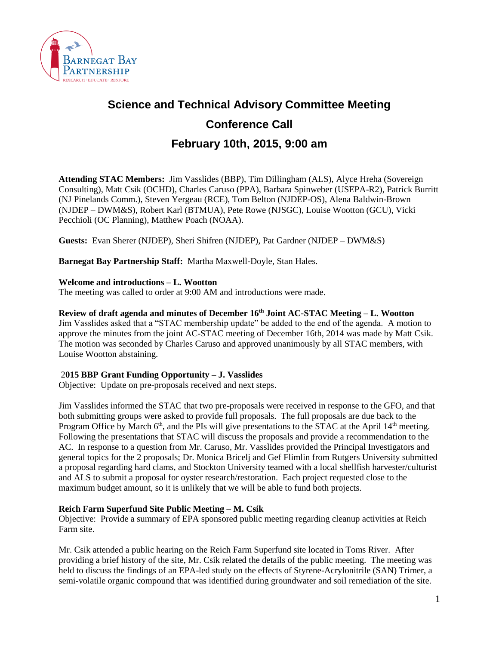

# **Science and Technical Advisory Committee Meeting Conference Call February 10th, 2015, 9:00 am**

**Attending STAC Members:** Jim Vasslides (BBP), Tim Dillingham (ALS), Alyce Hreha (Sovereign Consulting), Matt Csik (OCHD), Charles Caruso (PPA), Barbara Spinweber (USEPA-R2), Patrick Burritt (NJ Pinelands Comm.), Steven Yergeau (RCE), Tom Belton (NJDEP-OS), Alena Baldwin-Brown (NJDEP – DWM&S), Robert Karl (BTMUA), Pete Rowe (NJSGC), Louise Wootton (GCU), Vicki Pecchioli (OC Planning), Matthew Poach (NOAA).

**Guests:** Evan Sherer (NJDEP), Sheri Shifren (NJDEP), Pat Gardner (NJDEP – DWM&S)

**Barnegat Bay Partnership Staff:** Martha Maxwell-Doyle, Stan Hales.

#### **Welcome and introductions – L. Wootton**

The meeting was called to order at 9:00 AM and introductions were made.

#### **Review of draft agenda and minutes of December 16th Joint AC-STAC Meeting – L. Wootton**

Jim Vasslides asked that a "STAC membership update" be added to the end of the agenda. A motion to approve the minutes from the joint AC-STAC meeting of December 16th, 2014 was made by Matt Csik. The motion was seconded by Charles Caruso and approved unanimously by all STAC members, with Louise Wootton abstaining.

#### 2**015 BBP Grant Funding Opportunity – J. Vasslides**

Objective: Update on pre-proposals received and next steps.

Jim Vasslides informed the STAC that two pre-proposals were received in response to the GFO, and that both submitting groups were asked to provide full proposals. The full proposals are due back to the Program Office by March  $6<sup>th</sup>$ , and the PIs will give presentations to the STAC at the April 14<sup>th</sup> meeting. Following the presentations that STAC will discuss the proposals and provide a recommendation to the AC. In response to a question from Mr. Caruso, Mr. Vasslides provided the Principal Investigators and general topics for the 2 proposals; Dr. Monica Bricelj and Gef Flimlin from Rutgers University submitted a proposal regarding hard clams, and Stockton University teamed with a local shellfish harvester/culturist and ALS to submit a proposal for oyster research/restoration. Each project requested close to the maximum budget amount, so it is unlikely that we will be able to fund both projects.

#### **Reich Farm Superfund Site Public Meeting – M. Csik**

Objective: Provide a summary of EPA sponsored public meeting regarding cleanup activities at Reich Farm site.

Mr. Csik attended a public hearing on the Reich Farm Superfund site located in Toms River. After providing a brief history of the site, Mr. Csik related the details of the public meeting. The meeting was held to discuss the findings of an EPA-led study on the effects of Styrene-Acrylonitrile (SAN) Trimer, a semi-volatile organic compound that was identified during groundwater and soil remediation of the site.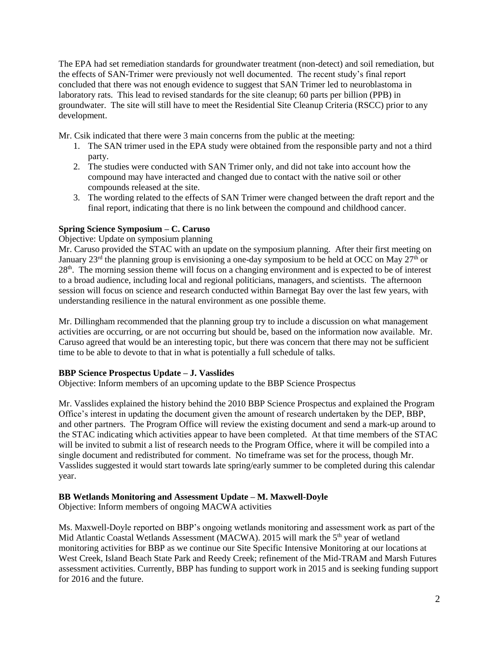The EPA had set remediation standards for groundwater treatment (non-detect) and soil remediation, but the effects of SAN-Trimer were previously not well documented. The recent study's final report concluded that there was not enough evidence to suggest that SAN Trimer led to neuroblastoma in laboratory rats. This lead to revised standards for the site cleanup; 60 parts per billion (PPB) in groundwater. The site will still have to meet the Residential Site Cleanup Criteria (RSCC) prior to any development.

Mr. Csik indicated that there were 3 main concerns from the public at the meeting:

- 1. The SAN trimer used in the EPA study were obtained from the responsible party and not a third party.
- 2. The studies were conducted with SAN Trimer only, and did not take into account how the compound may have interacted and changed due to contact with the native soil or other compounds released at the site.
- 3. The wording related to the effects of SAN Trimer were changed between the draft report and the final report, indicating that there is no link between the compound and childhood cancer.

## **Spring Science Symposium – C. Caruso**

#### Objective: Update on symposium planning

Mr. Caruso provided the STAC with an update on the symposium planning. After their first meeting on January  $23<sup>rd</sup>$  the planning group is envisioning a one-day symposium to be held at OCC on May  $27<sup>th</sup>$  or 28th. The morning session theme will focus on a changing environment and is expected to be of interest to a broad audience, including local and regional politicians, managers, and scientists. The afternoon session will focus on science and research conducted within Barnegat Bay over the last few years, with understanding resilience in the natural environment as one possible theme.

Mr. Dillingham recommended that the planning group try to include a discussion on what management activities are occurring, or are not occurring but should be, based on the information now available. Mr. Caruso agreed that would be an interesting topic, but there was concern that there may not be sufficient time to be able to devote to that in what is potentially a full schedule of talks.

#### **BBP Science Prospectus Update – J. Vasslides**

Objective: Inform members of an upcoming update to the BBP Science Prospectus

Mr. Vasslides explained the history behind the 2010 BBP Science Prospectus and explained the Program Office's interest in updating the document given the amount of research undertaken by the DEP, BBP, and other partners. The Program Office will review the existing document and send a mark-up around to the STAC indicating which activities appear to have been completed. At that time members of the STAC will be invited to submit a list of research needs to the Program Office, where it will be compiled into a single document and redistributed for comment. No timeframe was set for the process, though Mr. Vasslides suggested it would start towards late spring/early summer to be completed during this calendar year.

#### **BB Wetlands Monitoring and Assessment Update – M. Maxwell-Doyle**

Objective: Inform members of ongoing MACWA activities

Ms. Maxwell-Doyle reported on BBP's ongoing wetlands monitoring and assessment work as part of the Mid Atlantic Coastal Wetlands Assessment (MACWA). 2015 will mark the 5<sup>th</sup> year of wetland monitoring activities for BBP as we continue our Site Specific Intensive Monitoring at our locations at West Creek, Island Beach State Park and Reedy Creek; refinement of the Mid-TRAM and Marsh Futures assessment activities. Currently, BBP has funding to support work in 2015 and is seeking funding support for 2016 and the future.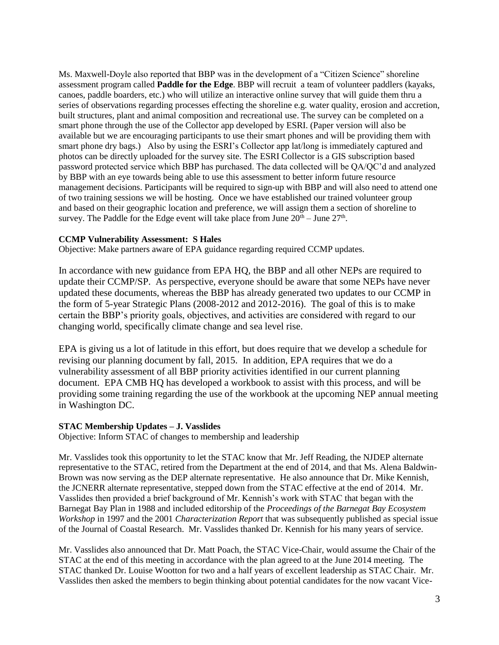Ms. Maxwell-Doyle also reported that BBP was in the development of a "Citizen Science" shoreline assessment program called **Paddle for the Edge**. BBP will recruit a team of volunteer paddlers (kayaks, canoes, paddle boarders, etc.) who will utilize an interactive online survey that will guide them thru a series of observations regarding processes effecting the shoreline e.g. water quality, erosion and accretion, built structures, plant and animal composition and recreational use. The survey can be completed on a smart phone through the use of the Collector app developed by ESRI. (Paper version will also be available but we are encouraging participants to use their smart phones and will be providing them with smart phone dry bags.) Also by using the ESRI's Collector app lat/long is immediately captured and photos can be directly uploaded for the survey site. The ESRI Collector is a GIS subscription based password protected service which BBP has purchased. The data collected will be QA/QC'd and analyzed by BBP with an eye towards being able to use this assessment to better inform future resource management decisions. Participants will be required to sign-up with BBP and will also need to attend one of two training sessions we will be hosting. Once we have established our trained volunteer group and based on their geographic location and preference, we will assign them a section of shoreline to survey. The Paddle for the Edge event will take place from June  $20<sup>th</sup> -$  June  $27<sup>th</sup>$ .

#### **CCMP Vulnerability Assessment: S Hales**

Objective: Make partners aware of EPA guidance regarding required CCMP updates.

In accordance with new guidance from EPA HQ, the BBP and all other NEPs are required to update their CCMP/SP. As perspective, everyone should be aware that some NEPs have never updated these documents, whereas the BBP has already generated two updates to our CCMP in the form of 5-year Strategic Plans (2008-2012 and 2012-2016). The goal of this is to make certain the BBP's priority goals, objectives, and activities are considered with regard to our changing world, specifically climate change and sea level rise.

EPA is giving us a lot of latitude in this effort, but does require that we develop a schedule for revising our planning document by fall, 2015. In addition, EPA requires that we do a vulnerability assessment of all BBP priority activities identified in our current planning document. EPA CMB HQ has developed a workbook to assist with this process, and will be providing some training regarding the use of the workbook at the upcoming NEP annual meeting in Washington DC.

#### **STAC Membership Updates – J. Vasslides**

Objective: Inform STAC of changes to membership and leadership

Mr. Vasslides took this opportunity to let the STAC know that Mr. Jeff Reading, the NJDEP alternate representative to the STAC, retired from the Department at the end of 2014, and that Ms. Alena Baldwin-Brown was now serving as the DEP alternate representative. He also announce that Dr. Mike Kennish, the JCNERR alternate representative, stepped down from the STAC effective at the end of 2014. Mr. Vasslides then provided a brief background of Mr. Kennish's work with STAC that began with the Barnegat Bay Plan in 1988 and included editorship of the *Proceedings of the Barnegat Bay Ecosystem Workshop* in 1997 and the 2001 *Characterization Report* that was subsequently published as special issue of the Journal of Coastal Research. Mr. Vasslides thanked Dr. Kennish for his many years of service.

Mr. Vasslides also announced that Dr. Matt Poach, the STAC Vice-Chair, would assume the Chair of the STAC at the end of this meeting in accordance with the plan agreed to at the June 2014 meeting. The STAC thanked Dr. Louise Wootton for two and a half years of excellent leadership as STAC Chair. Mr. Vasslides then asked the members to begin thinking about potential candidates for the now vacant Vice